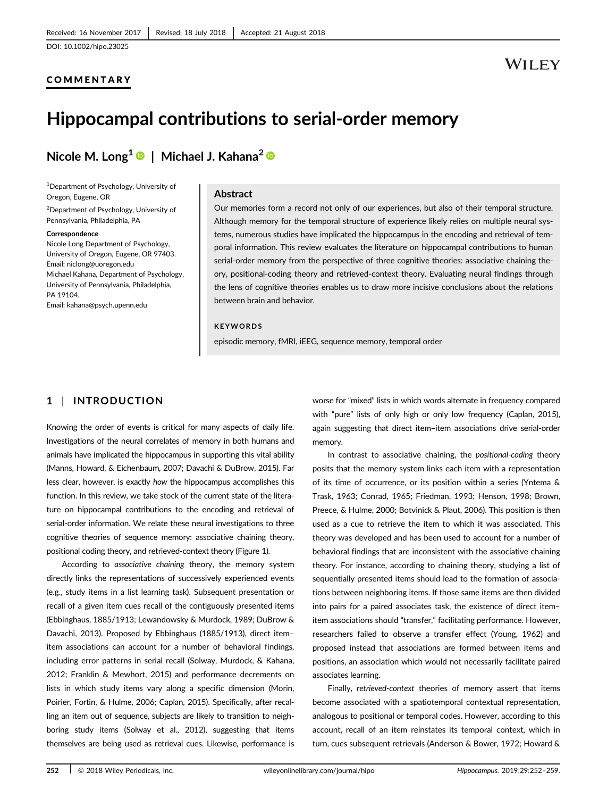## COMMENTARY

## **WILEY**

# Hippocampal contributions to serial-order memory

Nicole M. Long<sup>1</sup>  $\bullet$  | Michael J. Kahana<sup>2</sup>  $\bullet$ 

1 Department of Psychology, University of Oregon, Eugene, OR

<sup>2</sup>Department of Psychology, University of Pennsylvania, Philadelphia, PA

#### **Correspondence**

Nicole Long Department of Psychology, University of Oregon, Eugene, OR 97403. Email: [niclong@uoregon.edu](mailto:niclong@uoregon.edu) Michael Kahana, Department of Psychology, University of Pennsylvania, Philadelphia, PA 19104. Email: [kahana@psych.upenn.edu](mailto:kahana@psych.upenn.edu)

## Abstract

Our memories form a record not only of our experiences, but also of their temporal structure. Although memory for the temporal structure of experience likely relies on multiple neural systems, numerous studies have implicated the hippocampus in the encoding and retrieval of temporal information. This review evaluates the literature on hippocampal contributions to human serial-order memory from the perspective of three cognitive theories: associative chaining theory, positional-coding theory and retrieved-context theory. Evaluating neural findings through the lens of cognitive theories enables us to draw more incisive conclusions about the relations between brain and behavior.

### **KEYWORDS**

episodic memory, fMRI, iEEG, sequence memory, temporal order

## 1 | INTRODUCTION

Knowing the order of events is critical for many aspects of daily life. Investigations of the neural correlates of memory in both humans and animals have implicated the hippocampus in supporting this vital ability (Manns, Howard, & Eichenbaum, 2007; Davachi & DuBrow, 2015). Far less clear, however, is exactly how the hippocampus accomplishes this function. In this review, we take stock of the current state of the literature on hippocampal contributions to the encoding and retrieval of serial-order information. We relate these neural investigations to three cognitive theories of sequence memory: associative chaining theory, positional coding theory, and retrieved-context theory (Figure 1).

According to associative chaining theory, the memory system directly links the representations of successively experienced events (e.g., study items in a list learning task). Subsequent presentation or recall of a given item cues recall of the contiguously presented items (Ebbinghaus, 1885/1913; Lewandowsky & Murdock, 1989; DuBrow & Davachi, 2013). Proposed by Ebbinghaus (1885/1913), direct item– item associations can account for a number of behavioral findings, including error patterns in serial recall (Solway, Murdock, & Kahana, 2012; Franklin & Mewhort, 2015) and performance decrements on lists in which study items vary along a specific dimension (Morin, Poirier, Fortin, & Hulme, 2006; Caplan, 2015). Specifically, after recalling an item out of sequence, subjects are likely to transition to neighboring study items (Solway et al., 2012), suggesting that items themselves are being used as retrieval cues. Likewise, performance is worse for "mixed" lists in which words alternate in frequency compared with "pure" lists of only high or only low frequency (Caplan, 2015), again suggesting that direct item–item associations drive serial-order memory.

In contrast to associative chaining, the positional-coding theory posits that the memory system links each item with a representation of its time of occurrence, or its position within a series (Yntema & Trask, 1963; Conrad, 1965; Friedman, 1993; Henson, 1998; Brown, Preece, & Hulme, 2000; Botvinick & Plaut, 2006). This position is then used as a cue to retrieve the item to which it was associated. This theory was developed and has been used to account for a number of behavioral findings that are inconsistent with the associative chaining theory. For instance, according to chaining theory, studying a list of sequentially presented items should lead to the formation of associations between neighboring items. If those same items are then divided into pairs for a paired associates task, the existence of direct item– item associations should "transfer," facilitating performance. However, researchers failed to observe a transfer effect (Young, 1962) and proposed instead that associations are formed between items and positions, an association which would not necessarily facilitate paired associates learning.

Finally, retrieved-context theories of memory assert that items become associated with a spatiotemporal contextual representation, analogous to positional or temporal codes. However, according to this account, recall of an item reinstates its temporal context, which in turn, cues subsequent retrievals (Anderson & Bower, 1972; Howard &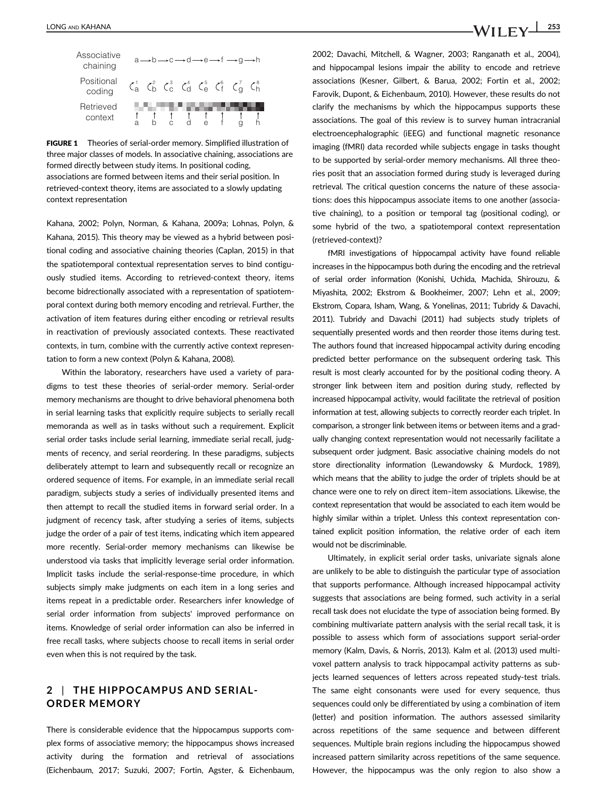

FIGURE 1 Theories of serial-order memory. Simplified illustration of three major classes of models. In associative chaining, associations are formed directly between study items. In positional coding, associations are formed between items and their serial position. In retrieved-context theory, items are associated to a slowly updating context representation

Kahana, 2002; Polyn, Norman, & Kahana, 2009a; Lohnas, Polyn, & Kahana, 2015). This theory may be viewed as a hybrid between positional coding and associative chaining theories (Caplan, 2015) in that the spatiotemporal contextual representation serves to bind contiguously studied items. According to retrieved-context theory, items become bidrectionally associated with a representation of spatiotemporal context during both memory encoding and retrieval. Further, the activation of item features during either encoding or retrieval results in reactivation of previously associated contexts. These reactivated contexts, in turn, combine with the currently active context representation to form a new context (Polyn & Kahana, 2008).

Within the laboratory, researchers have used a variety of paradigms to test these theories of serial-order memory. Serial-order memory mechanisms are thought to drive behavioral phenomena both in serial learning tasks that explicitly require subjects to serially recall memoranda as well as in tasks without such a requirement. Explicit serial order tasks include serial learning, immediate serial recall, judgments of recency, and serial reordering. In these paradigms, subjects deliberately attempt to learn and subsequently recall or recognize an ordered sequence of items. For example, in an immediate serial recall paradigm, subjects study a series of individually presented items and then attempt to recall the studied items in forward serial order. In a judgment of recency task, after studying a series of items, subjects judge the order of a pair of test items, indicating which item appeared more recently. Serial-order memory mechanisms can likewise be understood via tasks that implicitly leverage serial order information. Implicit tasks include the serial-response-time procedure, in which subjects simply make judgments on each item in a long series and items repeat in a predictable order. Researchers infer knowledge of serial order information from subjects' improved performance on items. Knowledge of serial order information can also be inferred in free recall tasks, where subjects choose to recall items in serial order even when this is not required by the task.

## 2 | THE HIPPOCAMPUS AND SERIAL-ORDER MEMORY

There is considerable evidence that the hippocampus supports complex forms of associative memory; the hippocampus shows increased activity during the formation and retrieval of associations (Eichenbaum, 2017; Suzuki, 2007; Fortin, Agster, & Eichenbaum,

2002; Davachi, Mitchell, & Wagner, 2003; Ranganath et al., 2004), and hippocampal lesions impair the ability to encode and retrieve associations (Kesner, Gilbert, & Barua, 2002; Fortin et al., 2002; Farovik, Dupont, & Eichenbaum, 2010). However, these results do not clarify the mechanisms by which the hippocampus supports these associations. The goal of this review is to survey human intracranial electroencephalographic (iEEG) and functional magnetic resonance imaging (fMRI) data recorded while subjects engage in tasks thought to be supported by serial-order memory mechanisms. All three theories posit that an association formed during study is leveraged during retrieval. The critical question concerns the nature of these associations: does this hippocampus associate items to one another (associative chaining), to a position or temporal tag (positional coding), or some hybrid of the two, a spatiotemporal context representation (retrieved-context)?

fMRI investigations of hippocampal activity have found reliable increases in the hippocampus both during the encoding and the retrieval of serial order information (Konishi, Uchida, Machida, Shirouzu, & Miyashita, 2002; Ekstrom & Bookheimer, 2007; Lehn et al., 2009; Ekstrom, Copara, Isham, Wang, & Yonelinas, 2011; Tubridy & Davachi, 2011). Tubridy and Davachi (2011) had subjects study triplets of sequentially presented words and then reorder those items during test. The authors found that increased hippocampal activity during encoding predicted better performance on the subsequent ordering task. This result is most clearly accounted for by the positional coding theory. A stronger link between item and position during study, reflected by increased hippocampal activity, would facilitate the retrieval of position information at test, allowing subjects to correctly reorder each triplet. In comparison, a stronger link between items or between items and a gradually changing context representation would not necessarily facilitate a subsequent order judgment. Basic associative chaining models do not store directionality information (Lewandowsky & Murdock, 1989), which means that the ability to judge the order of triplets should be at chance were one to rely on direct item–item associations. Likewise, the context representation that would be associated to each item would be highly similar within a triplet. Unless this context representation contained explicit position information, the relative order of each item would not be discriminable.

Ultimately, in explicit serial order tasks, univariate signals alone are unlikely to be able to distinguish the particular type of association that supports performance. Although increased hippocampal activity suggests that associations are being formed, such activity in a serial recall task does not elucidate the type of association being formed. By combining multivariate pattern analysis with the serial recall task, it is possible to assess which form of associations support serial-order memory (Kalm, Davis, & Norris, 2013). Kalm et al. (2013) used multivoxel pattern analysis to track hippocampal activity patterns as subjects learned sequences of letters across repeated study-test trials. The same eight consonants were used for every sequence, thus sequences could only be differentiated by using a combination of item (letter) and position information. The authors assessed similarity across repetitions of the same sequence and between different sequences. Multiple brain regions including the hippocampus showed increased pattern similarity across repetitions of the same sequence. However, the hippocampus was the only region to also show a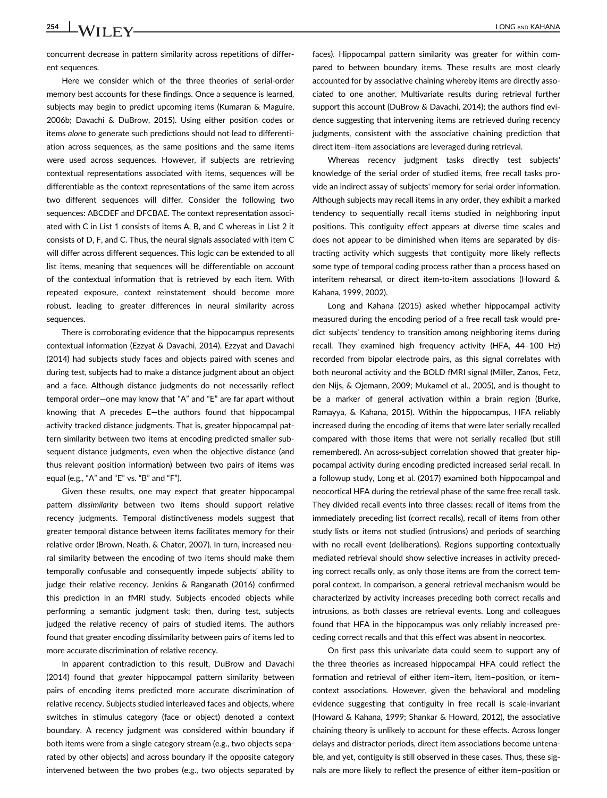**254 WII FY** LONG AND KAHANA

concurrent decrease in pattern similarity across repetitions of different sequences.

Here we consider which of the three theories of serial-order memory best accounts for these findings. Once a sequence is learned, subjects may begin to predict upcoming items (Kumaran & Maguire, 2006b; Davachi & DuBrow, 2015). Using either position codes or items alone to generate such predictions should not lead to differentiation across sequences, as the same positions and the same items were used across sequences. However, if subjects are retrieving contextual representations associated with items, sequences will be differentiable as the context representations of the same item across two different sequences will differ. Consider the following two sequences: ABCDEF and DFCBAE. The context representation associated with C in List 1 consists of items A, B, and C whereas in List 2 it consists of D, F, and C. Thus, the neural signals associated with item C will differ across different sequences. This logic can be extended to all list items, meaning that sequences will be differentiable on account of the contextual information that is retrieved by each item. With repeated exposure, context reinstatement should become more robust, leading to greater differences in neural similarity across sequences.

There is corroborating evidence that the hippocampus represents contextual information (Ezzyat & Davachi, 2014). Ezzyat and Davachi (2014) had subjects study faces and objects paired with scenes and during test, subjects had to make a distance judgment about an object and a face. Although distance judgments do not necessarily reflect temporal order—one may know that "A" and "E" are far apart without knowing that A precedes E—the authors found that hippocampal activity tracked distance judgments. That is, greater hippocampal pattern similarity between two items at encoding predicted smaller subsequent distance judgments, even when the objective distance (and thus relevant position information) between two pairs of items was equal (e.g., "A" and "E" vs. "B" and "F").

Given these results, one may expect that greater hippocampal pattern dissimilarity between two items should support relative recency judgments. Temporal distinctiveness models suggest that greater temporal distance between items facilitates memory for their relative order (Brown, Neath, & Chater, 2007). In turn, increased neural similarity between the encoding of two items should make them temporally confusable and consequently impede subjects' ability to judge their relative recency. Jenkins & Ranganath (2016) confirmed this prediction in an fMRI study. Subjects encoded objects while performing a semantic judgment task; then, during test, subjects judged the relative recency of pairs of studied items. The authors found that greater encoding dissimilarity between pairs of items led to more accurate discrimination of relative recency.

In apparent contradiction to this result, DuBrow and Davachi (2014) found that greater hippocampal pattern similarity between pairs of encoding items predicted more accurate discrimination of relative recency. Subjects studied interleaved faces and objects, where switches in stimulus category (face or object) denoted a context boundary. A recency judgment was considered within boundary if both items were from a single category stream (e.g., two objects separated by other objects) and across boundary if the opposite category intervened between the two probes (e.g., two objects separated by

faces). Hippocampal pattern similarity was greater for within compared to between boundary items. These results are most clearly accounted for by associative chaining whereby items are directly associated to one another. Multivariate results during retrieval further support this account (DuBrow & Davachi, 2014); the authors find evidence suggesting that intervening items are retrieved during recency judgments, consistent with the associative chaining prediction that direct item–item associations are leveraged during retrieval.

Whereas recency judgment tasks directly test subjects' knowledge of the serial order of studied items, free recall tasks provide an indirect assay of subjects' memory for serial order information. Although subjects may recall items in any order, they exhibit a marked tendency to sequentially recall items studied in neighboring input positions. This contiguity effect appears at diverse time scales and does not appear to be diminished when items are separated by distracting activity which suggests that contiguity more likely reflects some type of temporal coding process rather than a process based on interitem rehearsal, or direct item-to-item associations (Howard & Kahana, 1999, 2002).

Long and Kahana (2015) asked whether hippocampal activity measured during the encoding period of a free recall task would predict subjects' tendency to transition among neighboring items during recall. They examined high frequency activity (HFA, 44–100 Hz) recorded from bipolar electrode pairs, as this signal correlates with both neuronal activity and the BOLD fMRI signal (Miller, Zanos, Fetz, den Nijs, & Ojemann, 2009; Mukamel et al., 2005), and is thought to be a marker of general activation within a brain region (Burke, Ramayya, & Kahana, 2015). Within the hippocampus, HFA reliably increased during the encoding of items that were later serially recalled compared with those items that were not serially recalled (but still remembered). An across-subject correlation showed that greater hippocampal activity during encoding predicted increased serial recall. In a followup study, Long et al. (2017) examined both hippocampal and neocortical HFA during the retrieval phase of the same free recall task. They divided recall events into three classes: recall of items from the immediately preceding list (correct recalls), recall of items from other study lists or items not studied (intrusions) and periods of searching with no recall event (deliberations). Regions supporting contextually mediated retrieval should show selective increases in activity preceding correct recalls only, as only those items are from the correct temporal context. In comparison, a general retrieval mechanism would be characterized by activity increases preceding both correct recalls and intrusions, as both classes are retrieval events. Long and colleagues found that HFA in the hippocampus was only reliably increased preceding correct recalls and that this effect was absent in neocortex.

On first pass this univariate data could seem to support any of the three theories as increased hippocampal HFA could reflect the formation and retrieval of either item–item, item–position, or item– context associations. However, given the behavioral and modeling evidence suggesting that contiguity in free recall is scale-invariant (Howard & Kahana, 1999; Shankar & Howard, 2012), the associative chaining theory is unlikely to account for these effects. Across longer delays and distractor periods, direct item associations become untenable, and yet, contiguity is still observed in these cases. Thus, these signals are more likely to reflect the presence of either item–position or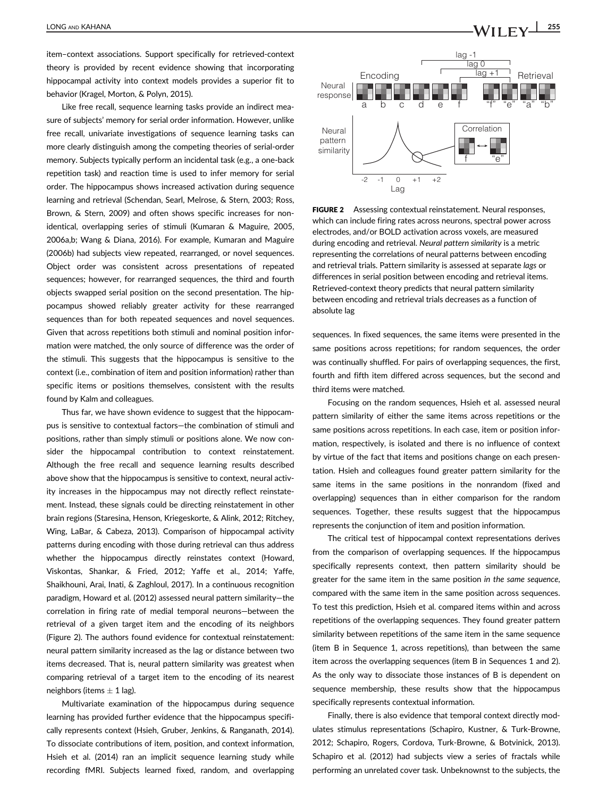item–context associations. Support specifically for retrieved-context theory is provided by recent evidence showing that incorporating hippocampal activity into context models provides a superior fit to behavior (Kragel, Morton, & Polyn, 2015).

Like free recall, sequence learning tasks provide an indirect measure of subjects' memory for serial order information. However, unlike free recall, univariate investigations of sequence learning tasks can more clearly distinguish among the competing theories of serial-order memory. Subjects typically perform an incidental task (e.g., a one-back repetition task) and reaction time is used to infer memory for serial order. The hippocampus shows increased activation during sequence learning and retrieval (Schendan, Searl, Melrose, & Stern, 2003; Ross, Brown, & Stern, 2009) and often shows specific increases for nonidentical, overlapping series of stimuli (Kumaran & Maguire, 2005, 2006a,b; Wang & Diana, 2016). For example, Kumaran and Maguire (2006b) had subjects view repeated, rearranged, or novel sequences. Object order was consistent across presentations of repeated sequences; however, for rearranged sequences, the third and fourth objects swapped serial position on the second presentation. The hippocampus showed reliably greater activity for these rearranged sequences than for both repeated sequences and novel sequences. Given that across repetitions both stimuli and nominal position information were matched, the only source of difference was the order of the stimuli. This suggests that the hippocampus is sensitive to the context (i.e., combination of item and position information) rather than specific items or positions themselves, consistent with the results found by Kalm and colleagues.

Thus far, we have shown evidence to suggest that the hippocampus is sensitive to contextual factors—the combination of stimuli and positions, rather than simply stimuli or positions alone. We now consider the hippocampal contribution to context reinstatement. Although the free recall and sequence learning results described above show that the hippocampus is sensitive to context, neural activity increases in the hippocampus may not directly reflect reinstatement. Instead, these signals could be directing reinstatement in other brain regions (Staresina, Henson, Kriegeskorte, & Alink, 2012; Ritchey, Wing, LaBar, & Cabeza, 2013). Comparison of hippocampal activity patterns during encoding with those during retrieval can thus address whether the hippocampus directly reinstates context (Howard, Viskontas, Shankar, & Fried, 2012; Yaffe et al., 2014; Yaffe, Shaikhouni, Arai, Inati, & Zaghloul, 2017). In a continuous recognition paradigm, Howard et al. (2012) assessed neural pattern similarity—the correlation in firing rate of medial temporal neurons—between the retrieval of a given target item and the encoding of its neighbors (Figure 2). The authors found evidence for contextual reinstatement: neural pattern similarity increased as the lag or distance between two items decreased. That is, neural pattern similarity was greatest when comparing retrieval of a target item to the encoding of its nearest neighbors (items  $\pm$  1 lag).

Multivariate examination of the hippocampus during sequence learning has provided further evidence that the hippocampus specifically represents context (Hsieh, Gruber, Jenkins, & Ranganath, 2014). To dissociate contributions of item, position, and context information, Hsieh et al. (2014) ran an implicit sequence learning study while recording fMRI. Subjects learned fixed, random, and overlapping



FIGURE 2 Assessing contextual reinstatement. Neural responses, which can include firing rates across neurons, spectral power across electrodes, and/or BOLD activation across voxels, are measured during encoding and retrieval. Neural pattern similarity is a metric representing the correlations of neural patterns between encoding and retrieval trials. Pattern similarity is assessed at separate lags or differences in serial position between encoding and retrieval items. Retrieved-context theory predicts that neural pattern similarity between encoding and retrieval trials decreases as a function of absolute lag

sequences. In fixed sequences, the same items were presented in the same positions across repetitions; for random sequences, the order was continually shuffled. For pairs of overlapping sequences, the first, fourth and fifth item differed across sequences, but the second and third items were matched.

Focusing on the random sequences, Hsieh et al. assessed neural pattern similarity of either the same items across repetitions or the same positions across repetitions. In each case, item or position information, respectively, is isolated and there is no influence of context by virtue of the fact that items and positions change on each presentation. Hsieh and colleagues found greater pattern similarity for the same items in the same positions in the nonrandom (fixed and overlapping) sequences than in either comparison for the random sequences. Together, these results suggest that the hippocampus represents the conjunction of item and position information.

The critical test of hippocampal context representations derives from the comparison of overlapping sequences. If the hippocampus specifically represents context, then pattern similarity should be greater for the same item in the same position in the same sequence, compared with the same item in the same position across sequences. To test this prediction, Hsieh et al. compared items within and across repetitions of the overlapping sequences. They found greater pattern similarity between repetitions of the same item in the same sequence (item B in Sequence 1, across repetitions), than between the same item across the overlapping sequences (item B in Sequences 1 and 2). As the only way to dissociate those instances of B is dependent on sequence membership, these results show that the hippocampus specifically represents contextual information.

Finally, there is also evidence that temporal context directly modulates stimulus representations (Schapiro, Kustner, & Turk-Browne, 2012; Schapiro, Rogers, Cordova, Turk-Browne, & Botvinick, 2013). Schapiro et al. (2012) had subjects view a series of fractals while performing an unrelated cover task. Unbeknownst to the subjects, the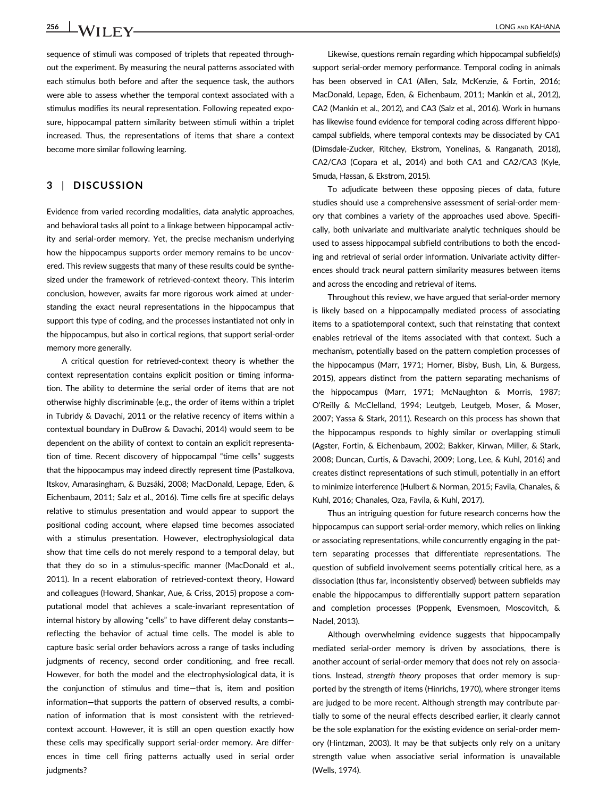**256 NVII FV** LONG AND KAHANA

sequence of stimuli was composed of triplets that repeated throughout the experiment. By measuring the neural patterns associated with each stimulus both before and after the sequence task, the authors were able to assess whether the temporal context associated with a stimulus modifies its neural representation. Following repeated exposure, hippocampal pattern similarity between stimuli within a triplet increased. Thus, the representations of items that share a context become more similar following learning.

## 3 | DISCUSSION

Evidence from varied recording modalities, data analytic approaches, and behavioral tasks all point to a linkage between hippocampal activity and serial-order memory. Yet, the precise mechanism underlying how the hippocampus supports order memory remains to be uncovered. This review suggests that many of these results could be synthesized under the framework of retrieved-context theory. This interim conclusion, however, awaits far more rigorous work aimed at understanding the exact neural representations in the hippocampus that support this type of coding, and the processes instantiated not only in the hippocampus, but also in cortical regions, that support serial-order memory more generally.

A critical question for retrieved-context theory is whether the context representation contains explicit position or timing information. The ability to determine the serial order of items that are not otherwise highly discriminable (e.g., the order of items within a triplet in Tubridy & Davachi, 2011 or the relative recency of items within a contextual boundary in DuBrow & Davachi, 2014) would seem to be dependent on the ability of context to contain an explicit representation of time. Recent discovery of hippocampal "time cells" suggests that the hippocampus may indeed directly represent time (Pastalkova, Itskov, Amarasingham, & Buzsáki, 2008; MacDonald, Lepage, Eden, & Eichenbaum, 2011; Salz et al., 2016). Time cells fire at specific delays relative to stimulus presentation and would appear to support the positional coding account, where elapsed time becomes associated with a stimulus presentation. However, electrophysiological data show that time cells do not merely respond to a temporal delay, but that they do so in a stimulus-specific manner (MacDonald et al., 2011). In a recent elaboration of retrieved-context theory, Howard and colleagues (Howard, Shankar, Aue, & Criss, 2015) propose a computational model that achieves a scale-invariant representation of internal history by allowing "cells" to have different delay constants reflecting the behavior of actual time cells. The model is able to capture basic serial order behaviors across a range of tasks including judgments of recency, second order conditioning, and free recall. However, for both the model and the electrophysiological data, it is the conjunction of stimulus and time—that is, item and position information—that supports the pattern of observed results, a combination of information that is most consistent with the retrievedcontext account. However, it is still an open question exactly how these cells may specifically support serial-order memory. Are differences in time cell firing patterns actually used in serial order judgments?

Likewise, questions remain regarding which hippocampal subfield(s) support serial-order memory performance. Temporal coding in animals has been observed in CA1 (Allen, Salz, McKenzie, & Fortin, 2016; MacDonald, Lepage, Eden, & Eichenbaum, 2011; Mankin et al., 2012), CA2 (Mankin et al., 2012), and CA3 (Salz et al., 2016). Work in humans has likewise found evidence for temporal coding across different hippocampal subfields, where temporal contexts may be dissociated by CA1 (Dimsdale-Zucker, Ritchey, Ekstrom, Yonelinas, & Ranganath, 2018), CA2/CA3 (Copara et al., 2014) and both CA1 and CA2/CA3 (Kyle, Smuda, Hassan, & Ekstrom, 2015).

To adjudicate between these opposing pieces of data, future studies should use a comprehensive assessment of serial-order memory that combines a variety of the approaches used above. Specifically, both univariate and multivariate analytic techniques should be used to assess hippocampal subfield contributions to both the encoding and retrieval of serial order information. Univariate activity differences should track neural pattern similarity measures between items and across the encoding and retrieval of items.

Throughout this review, we have argued that serial-order memory is likely based on a hippocampally mediated process of associating items to a spatiotemporal context, such that reinstating that context enables retrieval of the items associated with that context. Such a mechanism, potentially based on the pattern completion processes of the hippocampus (Marr, 1971; Horner, Bisby, Bush, Lin, & Burgess, 2015), appears distinct from the pattern separating mechanisms of the hippocampus (Marr, 1971; McNaughton & Morris, 1987; O'Reilly & McClelland, 1994; Leutgeb, Leutgeb, Moser, & Moser, 2007; Yassa & Stark, 2011). Research on this process has shown that the hippocampus responds to highly similar or overlapping stimuli (Agster, Fortin, & Eichenbaum, 2002; Bakker, Kirwan, Miller, & Stark, 2008; Duncan, Curtis, & Davachi, 2009; Long, Lee, & Kuhl, 2016) and creates distinct representations of such stimuli, potentially in an effort to minimize interference (Hulbert & Norman, 2015; Favila, Chanales, & Kuhl, 2016; Chanales, Oza, Favila, & Kuhl, 2017).

Thus an intriguing question for future research concerns how the hippocampus can support serial-order memory, which relies on linking or associating representations, while concurrently engaging in the pattern separating processes that differentiate representations. The question of subfield involvement seems potentially critical here, as a dissociation (thus far, inconsistently observed) between subfields may enable the hippocampus to differentially support pattern separation and completion processes (Poppenk, Evensmoen, Moscovitch, & Nadel, 2013).

Although overwhelming evidence suggests that hippocampally mediated serial-order memory is driven by associations, there is another account of serial-order memory that does not rely on associations. Instead, strength theory proposes that order memory is supported by the strength of items (Hinrichs, 1970), where stronger items are judged to be more recent. Although strength may contribute partially to some of the neural effects described earlier, it clearly cannot be the sole explanation for the existing evidence on serial-order memory (Hintzman, 2003). It may be that subjects only rely on a unitary strength value when associative serial information is unavailable (Wells, 1974).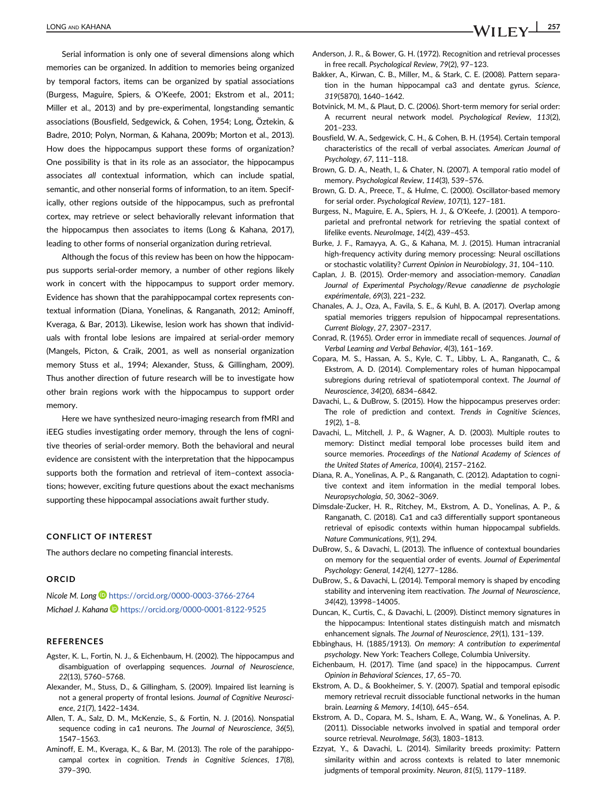Serial information is only one of several dimensions along which memories can be organized. In addition to memories being organized by temporal factors, items can be organized by spatial associations (Burgess, Maguire, Spiers, & O'Keefe, 2001; Ekstrom et al., 2011; Miller et al., 2013) and by pre-experimental, longstanding semantic associations (Bousfield, Sedgewick, & Cohen, 1954; Long, Öztekin, & Badre, 2010; Polyn, Norman, & Kahana, 2009b; Morton et al., 2013). How does the hippocampus support these forms of organization? One possibility is that in its role as an associator, the hippocampus associates all contextual information, which can include spatial, semantic, and other nonserial forms of information, to an item. Specifically, other regions outside of the hippocampus, such as prefrontal cortex, may retrieve or select behaviorally relevant information that the hippocampus then associates to items (Long & Kahana, 2017), leading to other forms of nonserial organization during retrieval.

Although the focus of this review has been on how the hippocampus supports serial-order memory, a number of other regions likely work in concert with the hippocampus to support order memory. Evidence has shown that the parahippocampal cortex represents contextual information (Diana, Yonelinas, & Ranganath, 2012; Aminoff, Kveraga, & Bar, 2013). Likewise, lesion work has shown that individuals with frontal lobe lesions are impaired at serial-order memory (Mangels, Picton, & Craik, 2001, as well as nonserial organization memory Stuss et al., 1994; Alexander, Stuss, & Gillingham, 2009). Thus another direction of future research will be to investigate how other brain regions work with the hippocampus to support order memory.

Here we have synthesized neuro-imaging research from fMRI and iEEG studies investigating order memory, through the lens of cognitive theories of serial-order memory. Both the behavioral and neural evidence are consistent with the interpretation that the hippocampus supports both the formation and retrieval of item–context associations; however, exciting future questions about the exact mechanisms supporting these hippocampal associations await further study.

#### CONFLICT OF INTEREST

The authors declare no competing financial interests.

### **ORCID**

Nicole M. Long <https://orcid.org/0000-0003-3766-2764> Michael J. Kahana <https://orcid.org/0000-0001-8122-9525>

#### **REFERENCES**

- Agster, K. L., Fortin, N. J., & Eichenbaum, H. (2002). The hippocampus and disambiguation of overlapping sequences. Journal of Neuroscience, 22(13), 5760–5768.
- Alexander, M., Stuss, D., & Gillingham, S. (2009). Impaired list learning is not a general property of frontal lesions. Journal of Cognitive Neuroscience, 21(7), 1422–1434.
- Allen, T. A., Salz, D. M., McKenzie, S., & Fortin, N. J. (2016). Nonspatial sequence coding in ca1 neurons. The Journal of Neuroscience, 36(5), 1547–1563.
- Aminoff, E. M., Kveraga, K., & Bar, M. (2013). The role of the parahippocampal cortex in cognition. Trends in Cognitive Sciences, 17(8), 379–390.
- Anderson, J. R., & Bower, G. H. (1972). Recognition and retrieval processes in free recall. Psychological Review, 79(2), 97–123.
- Bakker, A., Kirwan, C. B., Miller, M., & Stark, C. E. (2008). Pattern separation in the human hippocampal ca3 and dentate gyrus. Science, 319(5870), 1640–1642.
- Botvinick, M. M., & Plaut, D. C. (2006). Short-term memory for serial order: A recurrent neural network model. Psychological Review, 113(2), 201–233.
- Bousfield, W. A., Sedgewick, C. H., & Cohen, B. H. (1954). Certain temporal characteristics of the recall of verbal associates. American Journal of Psychology, 67, 111–118.
- Brown, G. D. A., Neath, I., & Chater, N. (2007). A temporal ratio model of memory. Psychological Review, 114(3), 539–576.
- Brown, G. D. A., Preece, T., & Hulme, C. (2000). Oscillator-based memory for serial order. Psychological Review, 107(1), 127–181.
- Burgess, N., Maguire, E. A., Spiers, H. J., & O'Keefe, J. (2001). A temporoparietal and prefrontal network for retrieving the spatial context of lifelike events. NeuroImage, 14(2), 439-453.
- Burke, J. F., Ramayya, A. G., & Kahana, M. J. (2015). Human intracranial high-frequency activity during memory processing: Neural oscillations or stochastic volatility? Current Opinion in Neurobiology, 31, 104–110.
- Caplan, J. B. (2015). Order-memory and association-memory. Canadian Journal of Experimental Psychology/Revue canadienne de psychologie expérimentale, 69(3), 221–232.
- Chanales, A. J., Oza, A., Favila, S. E., & Kuhl, B. A. (2017). Overlap among spatial memories triggers repulsion of hippocampal representations. Current Biology, 27, 2307–2317.
- Conrad, R. (1965). Order error in immediate recall of sequences. Journal of Verbal Learning and Verbal Behavior, 4(3), 161–169.
- Copara, M. S., Hassan, A. S., Kyle, C. T., Libby, L. A., Ranganath, C., & Ekstrom, A. D. (2014). Complementary roles of human hippocampal subregions during retrieval of spatiotemporal context. The Journal of Neuroscience, 34(20), 6834–6842.
- Davachi, L., & DuBrow, S. (2015). How the hippocampus preserves order: The role of prediction and context. Trends in Cognitive Sciences, 19(2), 1–8.
- Davachi, L., Mitchell, J. P., & Wagner, A. D. (2003). Multiple routes to memory: Distinct medial temporal lobe processes build item and source memories. Proceedings of the National Academy of Sciences of the United States of America, 100(4), 2157–2162.
- Diana, R. A., Yonelinas, A. P., & Ranganath, C. (2012). Adaptation to cognitive context and item information in the medial temporal lobes. Neuropsychologia, 50, 3062–3069.
- Dimsdale-Zucker, H. R., Ritchey, M., Ekstrom, A. D., Yonelinas, A. P., & Ranganath, C. (2018). Ca1 and ca3 differentially support spontaneous retrieval of episodic contexts within human hippocampal subfields. Nature Communications, 9(1), 294.
- DuBrow, S., & Davachi, L. (2013). The influence of contextual boundaries on memory for the sequential order of events. Journal of Experimental Psychology: General, 142(4), 1277–1286.
- DuBrow, S., & Davachi, L. (2014). Temporal memory is shaped by encoding stability and intervening item reactivation. The Journal of Neuroscience, 34(42), 13998–14005.
- Duncan, K., Curtis, C., & Davachi, L. (2009). Distinct memory signatures in the hippocampus: Intentional states distinguish match and mismatch enhancement signals. The Journal of Neuroscience, 29(1), 131–139.
- Ebbinghaus, H. (1885/1913). On memory: A contribution to experimental psychology. New York: Teachers College, Columbia University.
- Eichenbaum, H. (2017). Time (and space) in the hippocampus. Current Opinion in Behavioral Sciences, 17, 65–70.
- Ekstrom, A. D., & Bookheimer, S. Y. (2007). Spatial and temporal episodic memory retrieval recruit dissociable functional networks in the human brain. Learning & Memory, 14(10), 645–654.
- Ekstrom, A. D., Copara, M. S., Isham, E. A., Wang, W., & Yonelinas, A. P. (2011). Dissociable networks involved in spatial and temporal order source retrieval. NeuroImage, 56(3), 1803-1813.
- Ezzyat, Y., & Davachi, L. (2014). Similarity breeds proximity: Pattern similarity within and across contexts is related to later mnemonic judgments of temporal proximity. Neuron, 81(5), 1179–1189.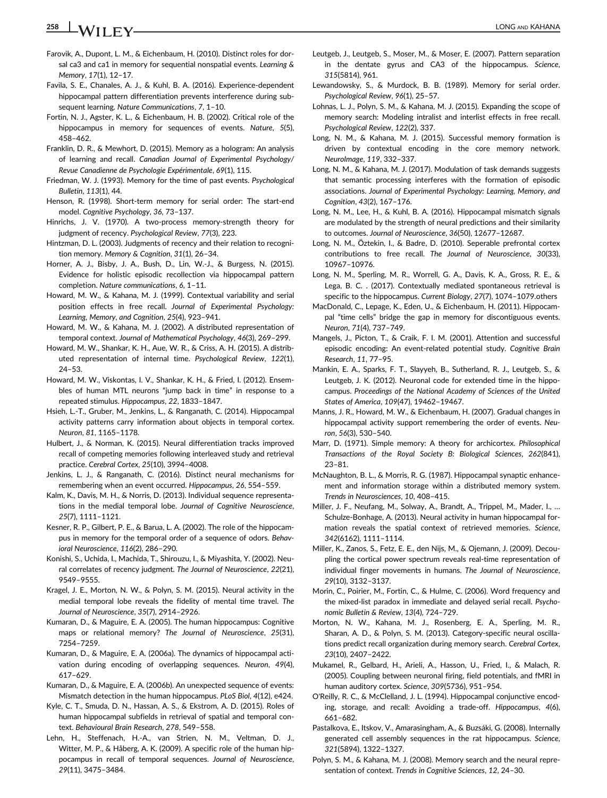# **258 WII FV** LONG AND KAHANA

- Farovik, A., Dupont, L. M., & Eichenbaum, H. (2010). Distinct roles for dorsal ca3 and ca1 in memory for sequential nonspatial events. Learning & Memory, 17(1), 12–17.
- Favila, S. E., Chanales, A. J., & Kuhl, B. A. (2016). Experience-dependent hippocampal pattern differentiation prevents interference during subsequent learning. Nature Communications, 7, 1–10.
- Fortin, N. J., Agster, K. L., & Eichenbaum, H. B. (2002). Critical role of the hippocampus in memory for sequences of events. Nature, 5(5), 458–462.
- Franklin, D. R., & Mewhort, D. (2015). Memory as a hologram: An analysis of learning and recall. Canadian Journal of Experimental Psychology/ Revue Canadienne de Psychologie Expérimentale, 69(1), 115.
- Friedman, W. J. (1993). Memory for the time of past events. Psychological Bulletin, 113(1), 44.
- Henson, R. (1998). Short-term memory for serial order: The start-end model. Cognitive Psychology, 36, 73–137.
- Hinrichs, J. V. (1970). A two-process memory-strength theory for judgment of recency. Psychological Review, 77(3), 223.
- Hintzman, D. L. (2003). Judgments of recency and their relation to recognition memory. Memory & Cognition, 31(1), 26–34.
- Horner, A. J., Bisby, J. A., Bush, D., Lin, W.-J., & Burgess, N. (2015). Evidence for holistic episodic recollection via hippocampal pattern completion. Nature communications, 6, 1–11.
- Howard, M. W., & Kahana, M. J. (1999). Contextual variability and serial position effects in free recall. Journal of Experimental Psychology: Learning, Memory, and Cognition, 25(4), 923–941.
- Howard, M. W., & Kahana, M. J. (2002). A distributed representation of temporal context. Journal of Mathematical Psychology, 46(3), 269–299.
- Howard, M. W., Shankar, K. H., Aue, W. R., & Criss, A. H. (2015). A distributed representation of internal time. Psychological Review, 122(1), 24–53.
- Howard, M. W., Viskontas, I. V., Shankar, K. H., & Fried, I. (2012). Ensembles of human MTL neurons "jump back in time" in response to a repeated stimulus. Hippocampus, 22, 1833–1847.
- Hsieh, L.-T., Gruber, M., Jenkins, L., & Ranganath, C. (2014). Hippocampal activity patterns carry information about objects in temporal cortex. Neuron, 81, 1165–1178.
- Hulbert, J., & Norman, K. (2015). Neural differentiation tracks improved recall of competing memories following interleaved study and retrieval practice. Cerebral Cortex, 25(10), 3994–4008.
- Jenkins, L. J., & Ranganath, C. (2016). Distinct neural mechanisms for remembering when an event occurred. Hippocampus, 26, 554–559.
- Kalm, K., Davis, M. H., & Norris, D. (2013). Individual sequence representations in the medial temporal lobe. Journal of Cognitive Neuroscience, 25(7), 1111–1121.
- Kesner, R. P., Gilbert, P. E., & Barua, L. A. (2002). The role of the hippocampus in memory for the temporal order of a sequence of odors. Behavioral Neuroscience, 116(2), 286–290.
- Konishi, S., Uchida, I., Machida, T., Shirouzu, I., & Miyashita, Y. (2002). Neural correlates of recency judgment. The Journal of Neuroscience, 22(21), 9549–9555.
- Kragel, J. E., Morton, N. W., & Polyn, S. M. (2015). Neural activity in the medial temporal lobe reveals the fidelity of mental time travel. The Journal of Neuroscience, 35(7), 2914–2926.
- Kumaran, D., & Maguire, E. A. (2005). The human hippocampus: Cognitive maps or relational memory? The Journal of Neuroscience, 25(31), 7254–7259.
- Kumaran, D., & Maguire, E. A. (2006a). The dynamics of hippocampal activation during encoding of overlapping sequences. Neuron, 49(4), 617–629.
- Kumaran, D., & Maguire, E. A. (2006b). An unexpected sequence of events: Mismatch detection in the human hippocampus. PLoS Biol, 4(12), e424.
- Kyle, C. T., Smuda, D. N., Hassan, A. S., & Ekstrom, A. D. (2015). Roles of human hippocampal subfields in retrieval of spatial and temporal context. Behavioural Brain Research, 278, 549–558.
- Lehn, H., Steffenach, H.-A., van Strien, N. M., Veltman, D. J., Witter, M. P., & Håberg, A. K. (2009). A specific role of the human hippocampus in recall of temporal sequences. Journal of Neuroscience, 29(11), 3475–3484.
- Leutgeb, J., Leutgeb, S., Moser, M., & Moser, E. (2007). Pattern separation in the dentate gyrus and CA3 of the hippocampus. Science, 315(5814), 961.
- Lewandowsky, S., & Murdock, B. B. (1989). Memory for serial order. Psychological Review, 96(1), 25–57.
- Lohnas, L. J., Polyn, S. M., & Kahana, M. J. (2015). Expanding the scope of memory search: Modeling intralist and interlist effects in free recall. Psychological Review, 122(2), 337.
- Long, N. M., & Kahana, M. J. (2015). Successful memory formation is driven by contextual encoding in the core memory network. NeuroImage, 119, 332–337.
- Long, N. M., & Kahana, M. J. (2017). Modulation of task demands suggests that semantic processing interferes with the formation of episodic associations. Journal of Experimental Psychology: Learning, Memory, and Cognition, 43(2), 167–176.
- Long, N. M., Lee, H., & Kuhl, B. A. (2016). Hippocampal mismatch signals are modulated by the strength of neural predictions and their similarity to outcomes. Journal of Neuroscience, 36(50), 12677–12687.
- Long, N. M., Öztekin, I., & Badre, D. (2010). Seperable prefrontal cortex contributions to free recall. The Journal of Neuroscience, 30(33), 10967–10976.
- Long, N. M., Sperling, M. R., Worrell, G. A., Davis, K. A., Gross, R. E., & Lega, B. C. . (2017). Contextually mediated spontaneous retrieval is specific to the hippocampus. Current Biology, 27(7), 1074–1079.others
- MacDonald, C., Lepage, K., Eden, U., & Eichenbaum, H. (2011). Hippocampal "time cells" bridge the gap in memory for discontiguous events. Neuron, 71(4), 737–749.
- Mangels, J., Picton, T., & Craik, F. I. M. (2001). Attention and successful episodic encoding: An event-related potential study. Cognitive Brain Research, 11, 77–95.
- Mankin, E. A., Sparks, F. T., Slayyeh, B., Sutherland, R. J., Leutgeb, S., & Leutgeb, J. K. (2012). Neuronal code for extended time in the hippocampus. Proceedings of the National Academy of Sciences of the United States of America, 109(47), 19462–19467.
- Manns, J. R., Howard, M. W., & Eichenbaum, H. (2007). Gradual changes in hippocampal activity support remembering the order of events. Neuron, 56(3), 530–540.
- Marr, D. (1971). Simple memory: A theory for archicortex. Philosophical Transactions of the Royal Society B: Biological Sciences, 262(841), 23–81.
- McNaughton, B. L., & Morris, R. G. (1987). Hippocampal synaptic enhancement and information storage within a distributed memory system. Trends in Neurosciences, 10, 408–415.
- Miller, J. F., Neufang, M., Solway, A., Brandt, A., Trippel, M., Mader, I., … Schulze-Bonhage, A. (2013). Neural activity in human hippocampal formation reveals the spatial context of retrieved memories. Science, 342(6162), 1111–1114.
- Miller, K., Zanos, S., Fetz, E. E., den Nijs, M., & Ojemann, J. (2009). Decoupling the cortical power spectrum reveals real-time representation of individual finger movements in humans. The Journal of Neuroscience, 29(10), 3132–3137.
- Morin, C., Poirier, M., Fortin, C., & Hulme, C. (2006). Word frequency and the mixed-list paradox in immediate and delayed serial recall. Psychonomic Bulletin & Review, 13(4), 724–729.
- Morton, N. W., Kahana, M. J., Rosenberg, E. A., Sperling, M. R., Sharan, A. D., & Polyn, S. M. (2013). Category-specific neural oscillations predict recall organization during memory search. Cerebral Cortex, 23(10), 2407–2422.
- Mukamel, R., Gelbard, H., Arieli, A., Hasson, U., Fried, I., & Malach, R. (2005). Coupling between neuronal firing, field potentials, and fMRI in human auditory cortex. Science, 309(5736), 951–954.
- O'Reilly, R. C., & McClelland, J. L. (1994). Hippocampal conjunctive encoding, storage, and recall: Avoiding a trade-off. Hippocampus, 4(6), 661–682.
- Pastalkova, E., Itskov, V., Amarasingham, A., & Buzsáki, G. (2008). Internally generated cell assembly sequences in the rat hippocampus. Science, 321(5894), 1322–1327.
- Polyn, S. M., & Kahana, M. J. (2008). Memory search and the neural representation of context. Trends in Cognitive Sciences, 12, 24–30.